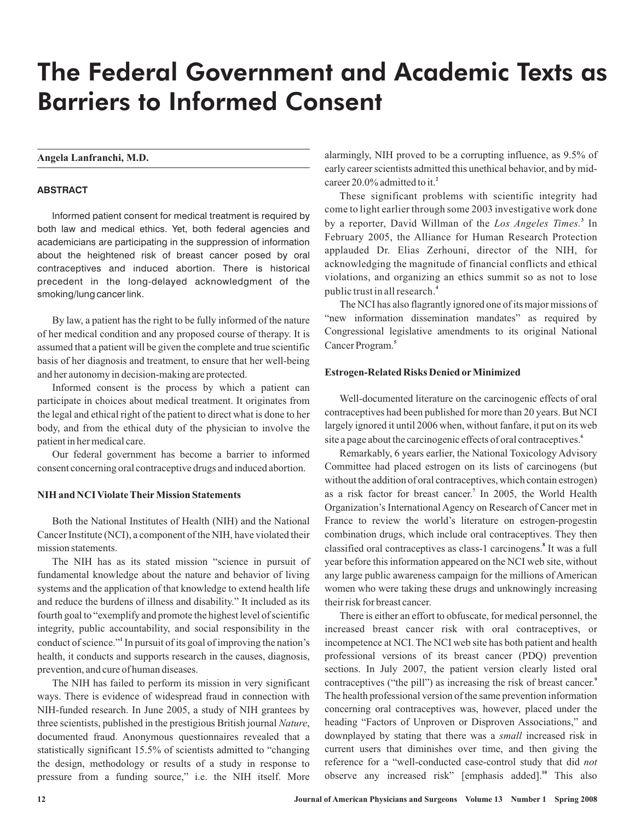# The Federal Government and Academic Texts as Barriers to Informed Consent

## **Angela Lanfranchi, M.D.**

# **ABSTRACT**

Informed patient consent for medical treatment is required by both law and medical ethics. Yet, both federal agencies and academicians are participating in the suppression of information about the heightened risk of breast cancer posed by oral contraceptives and induced abortion. There is historical precedent in the long-delayed acknowledgment of the smoking/lung cancer link.

By law, a patient has the right to be fully informed of the nature of her medical condition and any proposed course of therapy. It is assumed that a patient will be given the complete and true scientific basis of her diagnosis and treatment, to ensure that her well-being and her autonomy in decision-making are protected.

Informed consent is the process by which a patient can participate in choices about medical treatment. It originates from the legal and ethical right of the patient to direct what is done to her body, and from the ethical duty of the physician to involve the patient in her medical care.

Our federal government has become a barrier to informed consent concerning oral contraceptive drugs and induced abortion.

# **NIH and NCI Violate Their Mission Statements**

Both the National Institutes of Health (NIH) and the National Cancer Institute (NCI), a component of the NIH, have violated their mission statements.

The NIH has as its stated mission "science in pursuit of fundamental knowledge about the nature and behavior of living systems and the application of that knowledge to extend health life and reduce the burdens of illness and disability." It included as its fourth goal to "exemplify and promote the highest level of scientific integrity, public accountability, and social responsibility in the conduct of science."<sup>1</sup> In pursuit of its goal of improving the nation's health, it conducts and supports research in the causes, diagnosis, prevention, and cure of human diseases.

The NIH has failed to perform its mission in very significant ways. There is evidence of widespread fraud in connection with NIH-funded research. In June 2005, a study of NIH grantees by three scientists, published in the prestigious British journal Nature, documented fraud. Anonymous questionnaires revealed that a statistically significant 15.5% of scientists admitted to "changing the design, methodology or results of a study in response to pressure from a funding source," i.e. the NIH itself. More alarmingly, NIH proved to be a corrupting influence, as 9.5% of early career scientists admitted this unethical behavior, and by midcareer 20.0% admitted to it. **2**

These significant problems with scientific integrity had come to light earlier through some 2003 investigative work done by a reporter, David Willman of the Los Angeles Times.<sup>3</sup> In February 2005, the Alliance for Human Research Protection applauded Dr. Elias Zerhouni, director of the NIH, for acknowledging the magnitude of financial conflicts and ethical violations, and organizing an ethics summit so as not to lose publictrustin all research. **4**

The NCI has also flagrantly ignored one of its major missions of "new information dissemination mandates" as required by Congressional legislative amendments to its original National Cancer Program. **5**

#### **Estrogen-Related Risks Denied or Minimized**

Well-documented literature on the carcinogenic effects of oral contraceptives had been published for more than 20 years. But NCI largely ignored it until 2006 when, without fanfare, it put on its web site a page about the carcinogenic effects of oral contraceptives. **6**

Remarkably, 6 years earlier, the National Toxicology Advisory Committee had placed estrogen on its lists of carcinogens (but without the addition of oral contraceptives, which contain estrogen) as a risk factor for breast cancer.<sup>7</sup> In 2005, the World Health Organization's International Agency on Research of Cancer met in France to review the world's literature on estrogen-progestin combination drugs, which include oral contraceptives. They then classified oral contraceptives as class-1 carcinogens. It was a full **8** year before this information appeared on the NCI web site, without any large public awareness campaign for the millions of American women who were taking these drugs and unknowingly increasing their risk for breast cancer.

There is either an effort to obfuscate, for medical personnel, the increased breast cancer risk with oral contraceptives, or incompetence at NCI. The NCI web site has both patient and health professional versions of its breast cancer (PDQ) prevention sections. In July 2007, the patient version clearly listed oral contraceptives ("the pill") as increasing the risk of breast cancer. **9** The health professional version of the same prevention information concerning oral contraceptives was, however, placed under the heading "Factors of Unproven or Disproven Associations," and downplayed by stating that there was a small increased risk in current users that diminishes over time, and then giving the reference for a "well-conducted case-control study that did *not* observe any increased risk" [emphasis added].<sup>10</sup> This also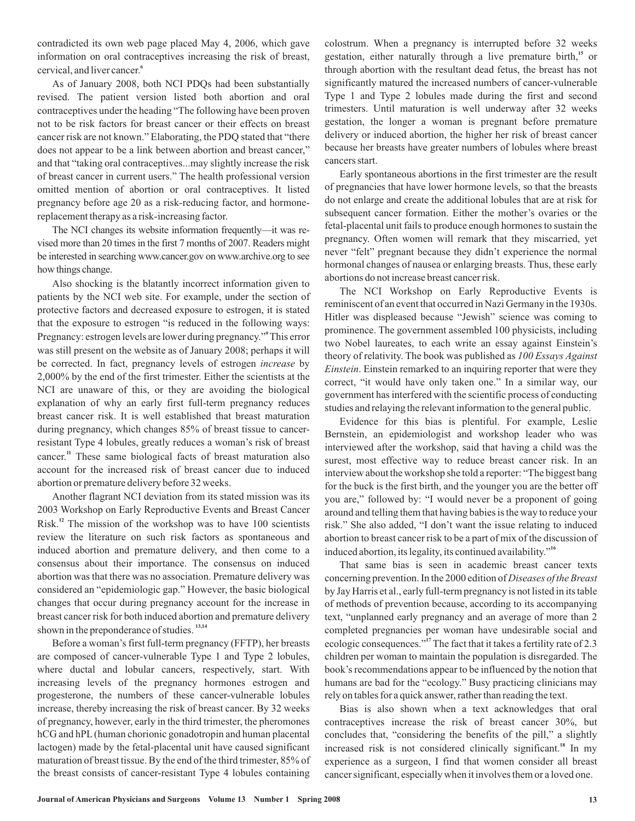contradicted its own web page placed May 4, 2006, which gave information on oral contraceptives increasing the risk of breast, cervical, and liver cancer. **6**

As of January 2008, both NCI PDQs had been substantially revised. The patient version listed both abortion and oral contraceptives under the heading "The following have been proven not to be risk factors for breast cancer or their effects on breast cancer risk are not known." Elaborating, the PDQ stated that "there does not appear to be a link between abortion and breast cancer," and that "taking oral contraceptives...may slightly increase the risk of breast cancer in current users." The health professional version omitted mention of abortion or oral contraceptives. It listed pregnancy before age 20 as a risk-reducing factor, and hormonereplacement therapy as a risk-increasing factor.

The NCI changes its website information frequently—it was revised more than 20 times in the first 7 months of 2007. Readers might be interested in searching www.cancer.gov on www.archive.org to see how things change.

Also shocking is the blatantly incorrect information given to patients by the NCI web site. For example, under the section of protective factors and decreased exposure to estrogen, it is stated that the exposure to estrogen "is reduced in the following ways: Pregnancy: estrogen levels are lower during pregnancy." This error **9** was still present on the website as of January 2008; perhaps it will be corrected. In fact, pregnancy levels of estrogen *increase* by 2,000% by the end of the first trimester. Either the scientists at the NCI are unaware of this, or they are avoiding the biological explanation of why an early first full-term pregnancy reduces breast cancer risk. It is well established that breast maturation during pregnancy, which changes 85% of breast tissue to cancerresistant Type 4 lobules, greatly reduces a woman's risk of breast cancer.<sup>11</sup> These same biological facts of breast maturation also account for the increased risk of breast cancer due to induced abortion or premature delivery before 32 weeks.

Another flagrant NCI deviation from its stated mission was its 2003 Workshop on Early Reproductive Events and Breast Cancer Risk.<sup>12</sup> The mission of the workshop was to have 100 scientists review the literature on such risk factors as spontaneous and induced abortion and premature delivery, and then come to a consensus about their importance. The consensus on induced abortion was that there was no association. Premature delivery was considered an "epidemiologic gap." However, the basic biological changes that occur during pregnancy account for the increase in breast cancer risk for both induced abortion and premature delivery shown in the preponderance of studies.<sup>13,14</sup>

Before a woman's first full-term pregnancy (FFTP), her breasts are composed of cancer-vulnerable Type 1 and Type 2 lobules, where ductal and lobular cancers, respectively, start. With increasing levels of the pregnancy hormones estrogen and progesterone, the numbers of these cancer-vulnerable lobules increase, thereby increasing the risk of breast cancer. By 32 weeks of pregnancy, however, early in the third trimester, the pheromones hCG and hPL (human chorionic gonadotropin and human placental lactogen) made by the fetal-placental unit have caused significant maturation of breast tissue. By the end of the third trimester, 85% of the breast consists of cancer-resistant Type 4 lobules containing colostrum. When a pregnancy is interrupted before 32 weeks gestation, either naturally through a live premature birth,<sup>15</sup> or through abortion with the resultant dead fetus, the breast has not significantly matured the increased numbers of cancer-vulnerable Type 1 and Type 2 lobules made during the first and second trimesters. Until maturation is well underway after 32 weeks gestation, the longer a woman is pregnant before premature delivery or induced abortion, the higher her risk of breast cancer because her breasts have greater numbers of lobules where breast cancers start.

Early spontaneous abortions in the first trimester are the result of pregnancies that have lower hormone levels, so that the breasts do not enlarge and create the additional lobules that are at risk for subsequent cancer formation. Either the mother's ovaries or the fetal-placental unit fails to produce enough hormones to sustain the pregnancy. Often women will remark that they miscarried, yet never "felt" pregnant because they didn't experience the normal hormonal changes of nausea or enlarging breasts. Thus, these early abortions do not increase breast cancer risk.

The NCI Workshop on Early Reproductive Events is reminiscent of an event that occurred in Nazi Germany in the 1930s. Hitler was displeased because "Jewish" science was coming to prominence. The government assembled 100 physicists, including two Nobel laureates, to each write an essay against Einstein's theory of relativity. The book was published as *100 Essays Against* . Einstein remarked to an inquiring reporter that were they *Einstein* correct, "it would have only taken one." In a similar way, our government has interfered with the scientific process of conducting studies and relaying the relevant information to the general public.

Evidence for this bias is plentiful. For example, Leslie Bernstein, an epidemiologist and workshop leader who was interviewed after the workshop, said that having a child was the surest, most effective way to reduce breast cancer risk. In an interview about the workshop she told a reporter: "The biggest bang for the buck is the first birth, and the younger you are the better off you are," followed by: "I would never be a proponent of going around and telling them that having babies is the way to reduce your risk." She also added, "I don't want the issue relating to induced abortion to breast cancer risk to be a part of mix of the discussion of induced abortion, its legality, its continued availability." **16**

That same bias is seen in academic breast cancer texts concerning prevention. In the 2000 edition of *Diseases of the Breast* by Jay Harris et al., early full-term pregnancy is not listed in its table of methods of prevention because, according to its accompanying text, "unplanned early pregnancy and an average of more than 2 completed pregnancies per woman have undesirable social and ecologic consequences."<sup>17</sup> The fact that it takes a fertility rate of 2.3 children per woman to maintain the population is disregarded. The book's recommendations appear to be influenced by the notion that humans are bad for the "ecology." Busy practicing clinicians may rely on tables for a quick answer, rather than reading the text.

Bias is also shown when a text acknowledges that oral contraceptives increase the risk of breast cancer 30%, but concludes that, "considering the benefits of the pill," a slightly increased risk is not considered clinically significant.<sup>18</sup> In my experience as a surgeon, I find that women consider all breast cancer significant, especially when it involves them or a loved one.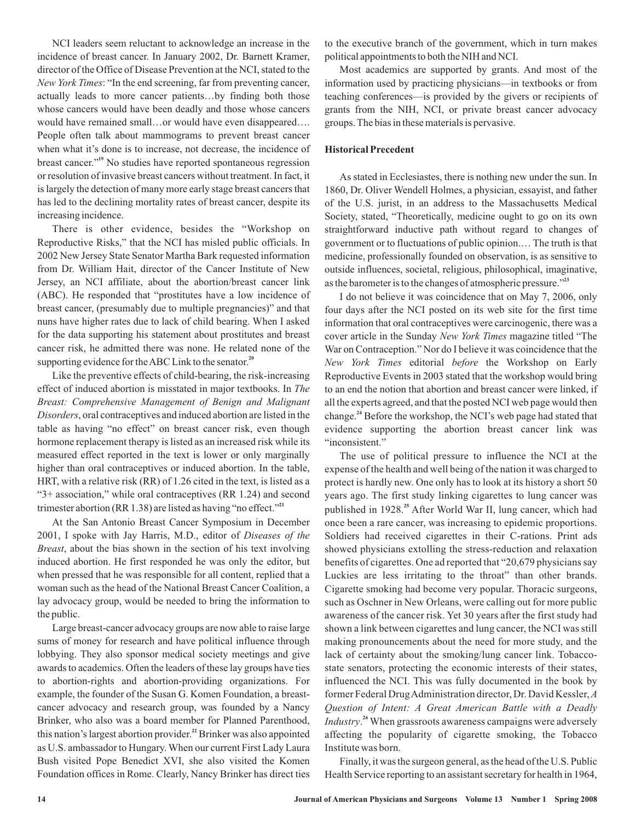NCI leaders seem reluctant to acknowledge an increase in the incidence of breast cancer. In January 2002, Dr. Barnett Kramer, director of the Office of Disease Prevention at the NCI, stated to the New York Times: "In the end screening, far from preventing cancer, actually leads to more cancer patients…by finding both those whose cancers would have been deadly and those whose cancers would have remained small…or would have even disappeared…. People often talk about mammograms to prevent breast cancer when what it's done is to increase, not decrease, the incidence of breast cancer."<sup>19</sup> No studies have reported spontaneous regression or resolution of invasive breast cancers without treatment. In fact, it is largely the detection of many more early stage breast cancers that has led to the declining mortality rates of breast cancer, despite its increasing incidence.

There is other evidence, besides the "Workshop on Reproductive Risks," that the NCI has misled public officials. In 2002 New Jersey State Senator Martha Bark requested information from Dr. William Hait, director of the Cancer Institute of New Jersey, an NCI affiliate, about the abortion/breast cancer link (ABC). He responded that "prostitutes have a low incidence of breast cancer, (presumably due to multiple pregnancies)" and that nuns have higher rates due to lack of child bearing. When I asked for the data supporting his statement about prostitutes and breast cancer risk, he admitted there was none. He related none of the supporting evidence for the ABC Link to the senator.<sup>20</sup>

Like the preventive effects of child-bearing, the risk-increasing effect of induced abortion is misstated in major textbooks. In *The* , oral contraceptives and induced abortion are listed in the *Disorders* table as having "no effect" on breast cancer risk, even though hormone replacement therapy is listed as an increased risk while its measured effect reported in the text is lower or only marginally higher than oral contraceptives or induced abortion. In the table, HRT, with a relative risk (RR) of 1.26 cited in the text, is listed as a "3+ association," while oral contraceptives (RR 1.24) and second trimester abortion (RR 1.38) are listed as having "no effect." **21** *Breast: Comprehensive Management of Benign and Malignant*

At the San Antonio Breast Cancer Symposium in December 2001, I spoke with Jay Harris, M.D., editor of *Diseases of the* , about the bias shown in the section of his text involving *Breast* induced abortion. He first responded he was only the editor, but when pressed that he was responsible for all content, replied that a woman such as the head of the National Breast Cancer Coalition, a lay advocacy group, would be needed to bring the information to the public.

Large breast-cancer advocacy groups are now able to raise large sums of money for research and have political influence through lobbying. They also sponsor medical society meetings and give awards to academics. Often the leaders of these lay groups have ties to abortion-rights and abortion-providing organizations. For example, the founder of the Susan G. Komen Foundation, a breastcancer advocacy and research group, was founded by a Nancy Brinker, who also was a board member for Planned Parenthood, this nation's largest abortion provider.<sup>22</sup> Brinker was also appointed as U.S. ambassador to Hungary.When our current First Lady Laura Bush visited Pope Benedict XVI, she also visited the Komen Foundation offices in Rome. Clearly, Nancy Brinker has direct ties

to the executive branch of the government, which in turn makes political appointments to both the NIH and NCI.

Most academics are supported by grants. And most of the information used by practicing physicians—in textbooks or from teaching conferences—is provided by the givers or recipients of grants from the NIH, NCI, or private breast cancer advocacy groups. The bias in these materials is pervasive.

## **Historical Precedent**

As stated in Ecclesiastes, there is nothing new under the sun. In 1860, Dr. Oliver Wendell Holmes, a physician, essayist, and father of the U.S. jurist, in an address to the Massachusetts Medical Society, stated, "Theoretically, medicine ought to go on its own straightforward inductive path without regard to changes of government or to fluctuations of public opinion.… The truth is that medicine, professionally founded on observation, is as sensitive to outside influences, societal, religious, philosophical, imaginative, as the barometer is to the changes of atmospheric pressure." **23**

I do not believe it was coincidence that on May 7, 2006, only four days after the NCI posted on its web site for the first time information that oral contraceptives were carcinogenic, there was a cover article in the Sunday New York Times magazine titled "The War on Contraception." Nor do I believe it was coincidence that the New York Times editorial before the Workshop on Early Reproductive Events in 2003 stated that the workshop would bring to an end the notion that abortion and breast cancer were linked, if all the experts agreed, and that the posted NCI web page would then change.<sup>24</sup> Before the workshop, the NCI's web page had stated that evidence supporting the abortion breast cancer link was "inconsistent."

The use of political pressure to influence the NCI at the expense of the health and well being of the nation it was charged to protect is hardly new. One only has to look at its history a short 50 years ago. The first study linking cigarettes to lung cancer was published in 1928.<sup>25</sup> After World War II, lung cancer, which had once been a rare cancer, was increasing to epidemic proportions. Soldiers had received cigarettes in their C-rations. Print ads showed physicians extolling the stress-reduction and relaxation benefits of cigarettes. One ad reported that "20,679 physicians say Luckies are less irritating to the throat" than other brands. Cigarette smoking had become very popular. Thoracic surgeons, such as Oschner in New Orleans, were calling out for more public awareness of the cancer risk. Yet 30 years after the first study had shown a link between cigarettes and lung cancer, the NCI was still making pronouncements about the need for more study, and the lack of certainty about the smoking/lung cancer link. Tobaccostate senators, protecting the economic interests of their states, influenced the NCI. This was fully documented in the book by former Federal DrugAdministration director, Dr. David Kessler, *A* Industry.<sup>26</sup> When grassroots awareness campaigns were adversely affecting the popularity of cigarette smoking, the Tobacco Institute was born. *Question of Intent: A Great American Battle with a Deadly*

Finally, it was the surgeon general, as the head of the U.S. Public Health Service reporting to an assistant secretary for health in 1964,